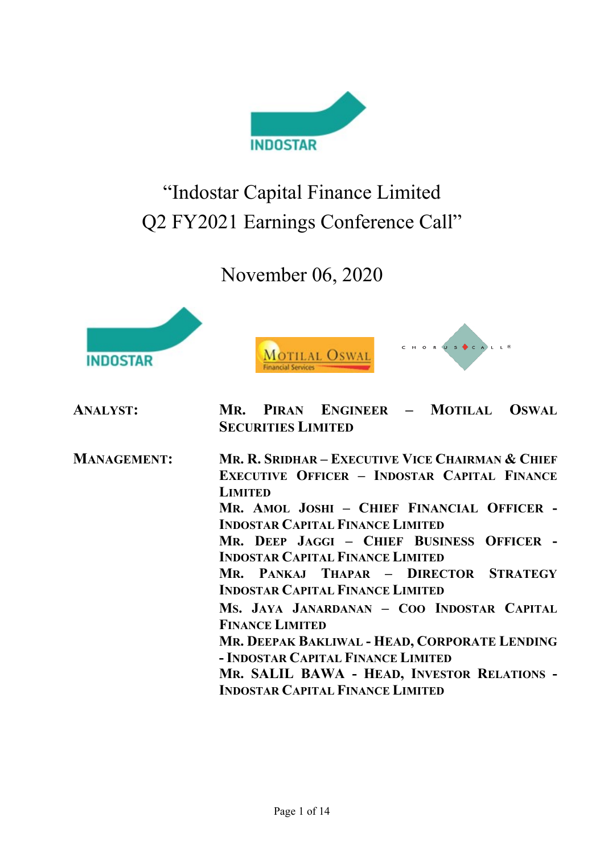

# "Indostar Capital Finance Limited Q2 FY2021 Earnings Conference Call"

November 06, 2020







| <b>ANALYST:</b>    | PIRAN ENGINEER - MOTILAL OSWAL<br>MR.<br><b>SECURITIES LIMITED</b>                                                                                                                                                                                                                                                                                                                                                                                                                                                                                                                                                                                      |
|--------------------|---------------------------------------------------------------------------------------------------------------------------------------------------------------------------------------------------------------------------------------------------------------------------------------------------------------------------------------------------------------------------------------------------------------------------------------------------------------------------------------------------------------------------------------------------------------------------------------------------------------------------------------------------------|
| <b>MANAGEMENT:</b> | MR. R. SRIDHAR – EXECUTIVE VICE CHAIRMAN & CHIEF<br><b>EXECUTIVE OFFICER - INDOSTAR CAPITAL FINANCE</b><br><b>LIMITED</b><br>MR. AMOL JOSHI - CHIEF FINANCIAL OFFICER -<br><b>INDOSTAR CAPITAL FINANCE LIMITED</b><br>MR. DEEP JAGGI - CHIEF BUSINESS OFFICER -<br><b>INDOSTAR CAPITAL FINANCE LIMITED</b><br>MR. PANKAJ THAPAR - DIRECTOR STRATEGY<br><b>INDOSTAR CAPITAL FINANCE LIMITED</b><br>MS. JAYA JANARDANAN - COO INDOSTAR CAPITAL<br><b>FINANCE LIMITED</b><br>MR. DEEPAK BAKLIWAL - HEAD, CORPORATE LENDING<br>- INDOSTAR CAPITAL FINANCE LIMITED<br>MR. SALIL BAWA - HEAD, INVESTOR RELATIONS -<br><b>INDOSTAR CAPITAL FINANCE LIMITED</b> |
|                    |                                                                                                                                                                                                                                                                                                                                                                                                                                                                                                                                                                                                                                                         |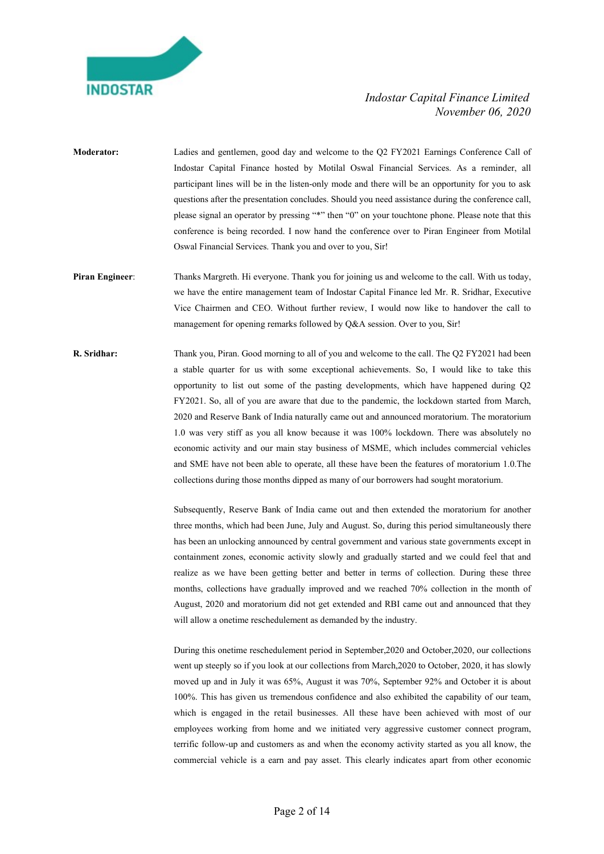

- Moderator: Ladies and gentlemen, good day and welcome to the Q2 FY2021 Earnings Conference Call of Indostar Capital Finance hosted by Motilal Oswal Financial Services. As a reminder, all participant lines will be in the listen-only mode and there will be an opportunity for you to ask questions after the presentation concludes. Should you need assistance during the conference call, please signal an operator by pressing "\*" then "0" on your touchtone phone. Please note that this conference is being recorded. I now hand the conference over to Piran Engineer from Motilal Oswal Financial Services. Thank you and over to you, Sir!
- Piran Engineer: Thanks Margreth. Hi everyone. Thank you for joining us and welcome to the call. With us today, we have the entire management team of Indostar Capital Finance led Mr. R. Sridhar, Executive Vice Chairmen and CEO. Without further review, I would now like to handover the call to management for opening remarks followed by Q&A session. Over to you, Sir!
- R. Sridhar: Thank you, Piran. Good morning to all of you and welcome to the call. The Q2 FY2021 had been a stable quarter for us with some exceptional achievements. So, I would like to take this opportunity to list out some of the pasting developments, which have happened during Q2 FY2021. So, all of you are aware that due to the pandemic, the lockdown started from March, 2020 and Reserve Bank of India naturally came out and announced moratorium. The moratorium 1.0 was very stiff as you all know because it was 100% lockdown. There was absolutely no economic activity and our main stay business of MSME, which includes commercial vehicles and SME have not been able to operate, all these have been the features of moratorium 1.0.The collections during those months dipped as many of our borrowers had sought moratorium.

 Subsequently, Reserve Bank of India came out and then extended the moratorium for another three months, which had been June, July and August. So, during this period simultaneously there has been an unlocking announced by central government and various state governments except in containment zones, economic activity slowly and gradually started and we could feel that and realize as we have been getting better and better in terms of collection. During these three months, collections have gradually improved and we reached 70% collection in the month of August, 2020 and moratorium did not get extended and RBI came out and announced that they will allow a onetime reschedulement as demanded by the industry.

 During this onetime reschedulement period in September,2020 and October,2020, our collections went up steeply so if you look at our collections from March,2020 to October, 2020, it has slowly moved up and in July it was 65%, August it was 70%, September 92% and October it is about 100%. This has given us tremendous confidence and also exhibited the capability of our team, which is engaged in the retail businesses. All these have been achieved with most of our employees working from home and we initiated very aggressive customer connect program, terrific follow-up and customers as and when the economy activity started as you all know, the commercial vehicle is a earn and pay asset. This clearly indicates apart from other economic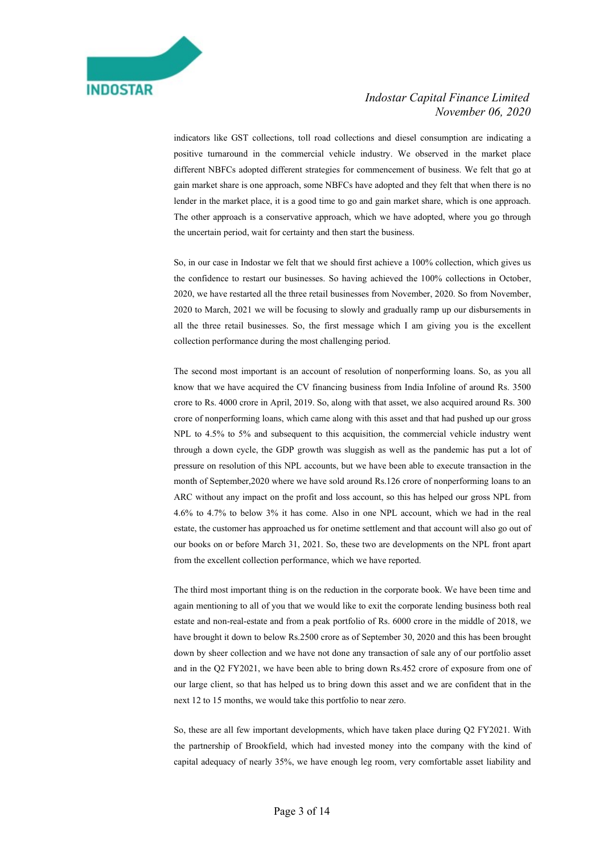

indicators like GST collections, toll road collections and diesel consumption are indicating a positive turnaround in the commercial vehicle industry. We observed in the market place different NBFCs adopted different strategies for commencement of business. We felt that go at gain market share is one approach, some NBFCs have adopted and they felt that when there is no lender in the market place, it is a good time to go and gain market share, which is one approach. The other approach is a conservative approach, which we have adopted, where you go through the uncertain period, wait for certainty and then start the business.

 So, in our case in Indostar we felt that we should first achieve a 100% collection, which gives us the confidence to restart our businesses. So having achieved the 100% collections in October, 2020, we have restarted all the three retail businesses from November, 2020. So from November, 2020 to March, 2021 we will be focusing to slowly and gradually ramp up our disbursements in all the three retail businesses. So, the first message which I am giving you is the excellent collection performance during the most challenging period.

 The second most important is an account of resolution of nonperforming loans. So, as you all know that we have acquired the CV financing business from India Infoline of around Rs. 3500 crore to Rs. 4000 crore in April, 2019. So, along with that asset, we also acquired around Rs. 300 crore of nonperforming loans, which came along with this asset and that had pushed up our gross NPL to 4.5% to 5% and subsequent to this acquisition, the commercial vehicle industry went through a down cycle, the GDP growth was sluggish as well as the pandemic has put a lot of pressure on resolution of this NPL accounts, but we have been able to execute transaction in the month of September,2020 where we have sold around Rs.126 crore of nonperforming loans to an ARC without any impact on the profit and loss account, so this has helped our gross NPL from 4.6% to 4.7% to below 3% it has come. Also in one NPL account, which we had in the real estate, the customer has approached us for onetime settlement and that account will also go out of our books on or before March 31, 2021. So, these two are developments on the NPL front apart from the excellent collection performance, which we have reported.

 The third most important thing is on the reduction in the corporate book. We have been time and again mentioning to all of you that we would like to exit the corporate lending business both real estate and non-real-estate and from a peak portfolio of Rs. 6000 crore in the middle of 2018, we have brought it down to below Rs.2500 crore as of September 30, 2020 and this has been brought down by sheer collection and we have not done any transaction of sale any of our portfolio asset and in the Q2 FY2021, we have been able to bring down Rs.452 crore of exposure from one of our large client, so that has helped us to bring down this asset and we are confident that in the next 12 to 15 months, we would take this portfolio to near zero.

 So, these are all few important developments, which have taken place during Q2 FY2021. With the partnership of Brookfield, which had invested money into the company with the kind of capital adequacy of nearly 35%, we have enough leg room, very comfortable asset liability and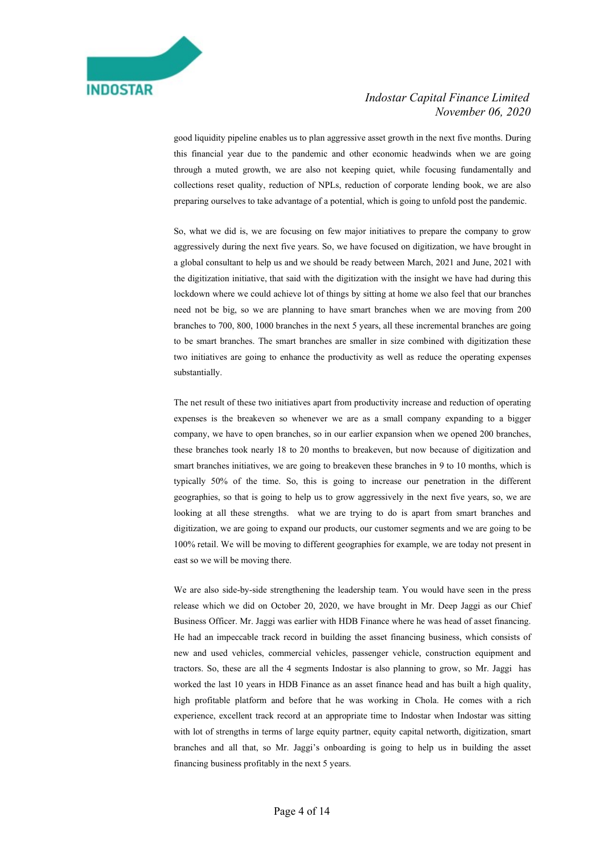

good liquidity pipeline enables us to plan aggressive asset growth in the next five months. During this financial year due to the pandemic and other economic headwinds when we are going through a muted growth, we are also not keeping quiet, while focusing fundamentally and collections reset quality, reduction of NPLs, reduction of corporate lending book, we are also preparing ourselves to take advantage of a potential, which is going to unfold post the pandemic.

 So, what we did is, we are focusing on few major initiatives to prepare the company to grow aggressively during the next five years. So, we have focused on digitization, we have brought in a global consultant to help us and we should be ready between March, 2021 and June, 2021 with the digitization initiative, that said with the digitization with the insight we have had during this lockdown where we could achieve lot of things by sitting at home we also feel that our branches need not be big, so we are planning to have smart branches when we are moving from 200 branches to 700, 800, 1000 branches in the next 5 years, all these incremental branches are going to be smart branches. The smart branches are smaller in size combined with digitization these two initiatives are going to enhance the productivity as well as reduce the operating expenses substantially.

 The net result of these two initiatives apart from productivity increase and reduction of operating expenses is the breakeven so whenever we are as a small company expanding to a bigger company, we have to open branches, so in our earlier expansion when we opened 200 branches, these branches took nearly 18 to 20 months to breakeven, but now because of digitization and smart branches initiatives, we are going to breakeven these branches in 9 to 10 months, which is typically 50% of the time. So, this is going to increase our penetration in the different geographies, so that is going to help us to grow aggressively in the next five years, so, we are looking at all these strengths. what we are trying to do is apart from smart branches and digitization, we are going to expand our products, our customer segments and we are going to be 100% retail. We will be moving to different geographies for example, we are today not present in east so we will be moving there.

 We are also side-by-side strengthening the leadership team. You would have seen in the press release which we did on October 20, 2020, we have brought in Mr. Deep Jaggi as our Chief Business Officer. Mr. Jaggi was earlier with HDB Finance where he was head of asset financing. He had an impeccable track record in building the asset financing business, which consists of new and used vehicles, commercial vehicles, passenger vehicle, construction equipment and tractors. So, these are all the 4 segments Indostar is also planning to grow, so Mr. Jaggi has worked the last 10 years in HDB Finance as an asset finance head and has built a high quality, high profitable platform and before that he was working in Chola. He comes with a rich experience, excellent track record at an appropriate time to Indostar when Indostar was sitting with lot of strengths in terms of large equity partner, equity capital networth, digitization, smart branches and all that, so Mr. Jaggi's onboarding is going to help us in building the asset financing business profitably in the next 5 years.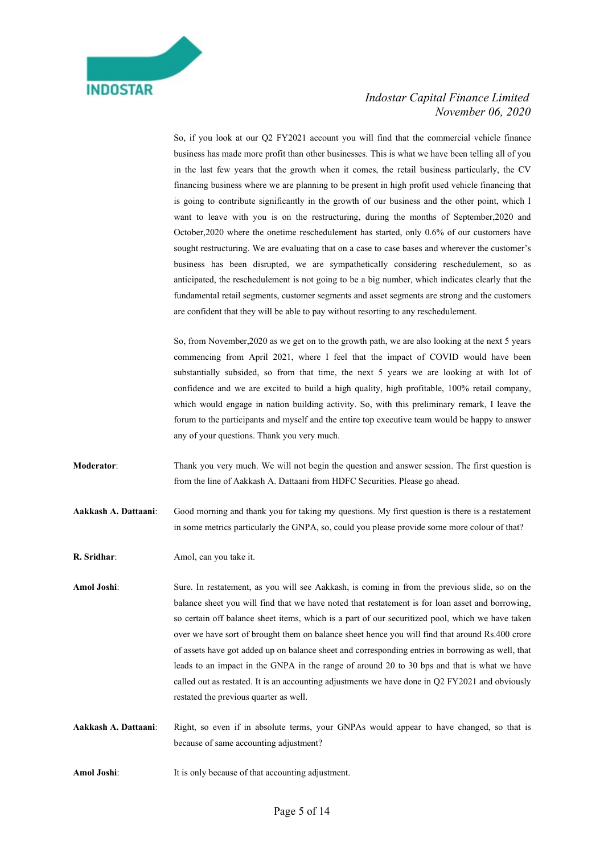

 So, if you look at our Q2 FY2021 account you will find that the commercial vehicle finance business has made more profit than other businesses. This is what we have been telling all of you in the last few years that the growth when it comes, the retail business particularly, the CV financing business where we are planning to be present in high profit used vehicle financing that is going to contribute significantly in the growth of our business and the other point, which I want to leave with you is on the restructuring, during the months of September,2020 and October,2020 where the onetime reschedulement has started, only 0.6% of our customers have sought restructuring. We are evaluating that on a case to case bases and wherever the customer's business has been disrupted, we are sympathetically considering reschedulement, so as anticipated, the reschedulement is not going to be a big number, which indicates clearly that the fundamental retail segments, customer segments and asset segments are strong and the customers are confident that they will be able to pay without resorting to any reschedulement.

 So, from November,2020 as we get on to the growth path, we are also looking at the next 5 years commencing from April 2021, where I feel that the impact of COVID would have been substantially subsided, so from that time, the next 5 years we are looking at with lot of confidence and we are excited to build a high quality, high profitable, 100% retail company, which would engage in nation building activity. So, with this preliminary remark, I leave the forum to the participants and myself and the entire top executive team would be happy to answer any of your questions. Thank you very much.

- Moderator: Thank you very much. We will not begin the question and answer session. The first question is from the line of Aakkash A. Dattaani from HDFC Securities. Please go ahead.
- Aakkash A. Dattaani: Good morning and thank you for taking my questions. My first question is there is a restatement in some metrics particularly the GNPA, so, could you please provide some more colour of that?

R. Sridhar: Amol, can you take it.

Amol Joshi: Sure. In restatement, as you will see Aakkash, is coming in from the previous slide, so on the balance sheet you will find that we have noted that restatement is for loan asset and borrowing, so certain off balance sheet items, which is a part of our securitized pool, which we have taken over we have sort of brought them on balance sheet hence you will find that around Rs.400 crore of assets have got added up on balance sheet and corresponding entries in borrowing as well, that leads to an impact in the GNPA in the range of around 20 to 30 bps and that is what we have called out as restated. It is an accounting adjustments we have done in Q2 FY2021 and obviously restated the previous quarter as well.

- Aakkash A. Dattaani: Right, so even if in absolute terms, your GNPAs would appear to have changed, so that is because of same accounting adjustment?
- Amol Joshi: It is only because of that accounting adjustment.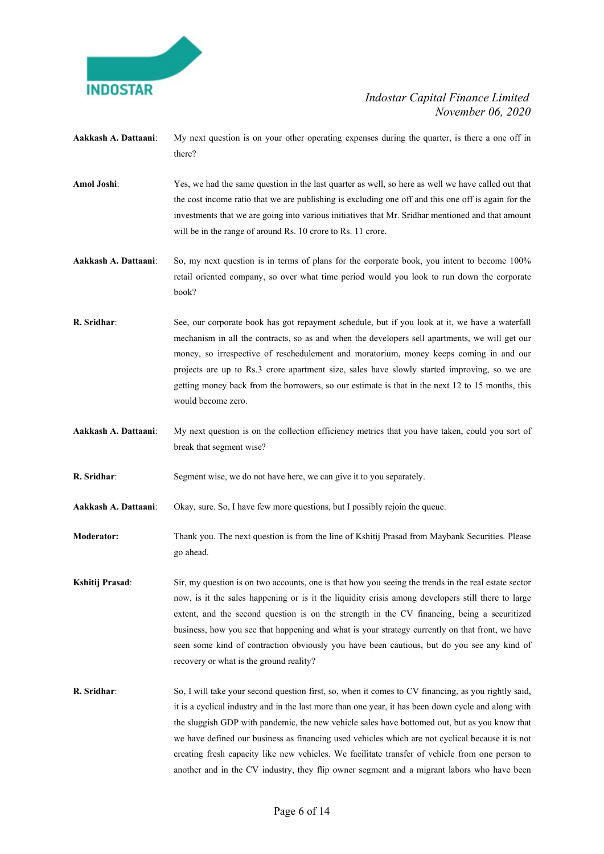

- Aakkash A. Dattaani: My next question is on your other operating expenses during the quarter, is there a one off in there?
- Amol Joshi: Yes, we had the same question in the last quarter as well, so here as well we have called out that the cost income ratio that we are publishing is excluding one off and this one off is again for the investments that we are going into various initiatives that Mr. Sridhar mentioned and that amount will be in the range of around Rs. 10 crore to Rs. 11 crore.

Aakkash A. Dattaani: So, my next question is in terms of plans for the corporate book, you intent to become 100% retail oriented company, so over what time period would you look to run down the corporate book?

- R. Sridhar: See, our corporate book has got repayment schedule, but if you look at it, we have a waterfall mechanism in all the contracts, so as and when the developers sell apartments, we will get our money, so irrespective of reschedulement and moratorium, money keeps coming in and our projects are up to Rs.3 crore apartment size, sales have slowly started improving, so we are getting money back from the borrowers, so our estimate is that in the next 12 to 15 months, this would become zero.
- Aakkash A. Dattaani: My next question is on the collection efficiency metrics that you have taken, could you sort of break that segment wise?

R. Sridhar: Segment wise, we do not have here, we can give it to you separately.

Aakkash A. Dattaani: Okay, sure. So, I have few more questions, but I possibly rejoin the queue.

Moderator: Thank you. The next question is from the line of Kshitij Prasad from Maybank Securities. Please go ahead.

Kshitij Prasad: Sir, my question is on two accounts, one is that how you seeing the trends in the real estate sector now, is it the sales happening or is it the liquidity crisis among developers still there to large extent, and the second question is on the strength in the CV financing, being a securitized business, how you see that happening and what is your strategy currently on that front, we have seen some kind of contraction obviously you have been cautious, but do you see any kind of recovery or what is the ground reality?

R. Sridhar: So, I will take your second question first, so, when it comes to CV financing, as you rightly said, it is a cyclical industry and in the last more than one year, it has been down cycle and along with the sluggish GDP with pandemic, the new vehicle sales have bottomed out, but as you know that we have defined our business as financing used vehicles which are not cyclical because it is not creating fresh capacity like new vehicles. We facilitate transfer of vehicle from one person to another and in the CV industry, they flip owner segment and a migrant labors who have been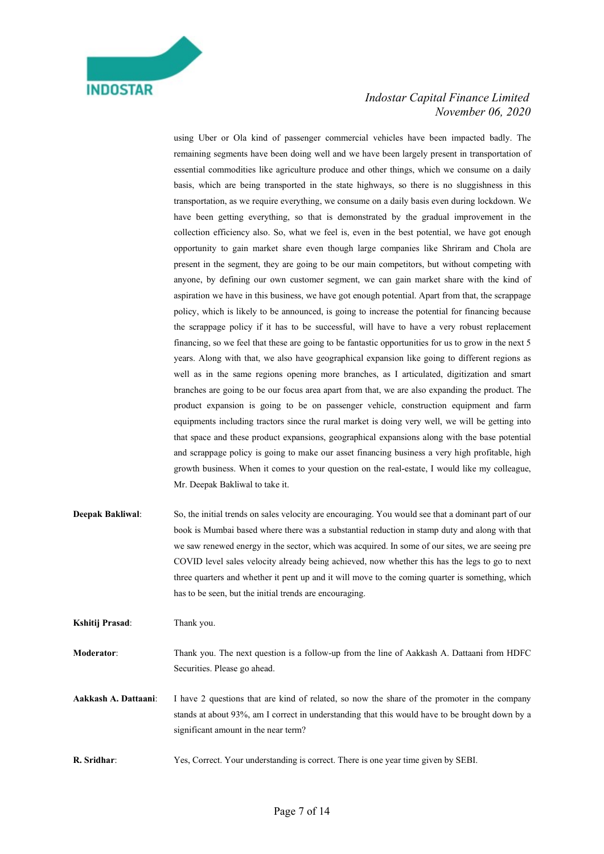

using Uber or Ola kind of passenger commercial vehicles have been impacted badly. The remaining segments have been doing well and we have been largely present in transportation of essential commodities like agriculture produce and other things, which we consume on a daily basis, which are being transported in the state highways, so there is no sluggishness in this transportation, as we require everything, we consume on a daily basis even during lockdown. We have been getting everything, so that is demonstrated by the gradual improvement in the collection efficiency also. So, what we feel is, even in the best potential, we have got enough opportunity to gain market share even though large companies like Shriram and Chola are present in the segment, they are going to be our main competitors, but without competing with anyone, by defining our own customer segment, we can gain market share with the kind of aspiration we have in this business, we have got enough potential. Apart from that, the scrappage policy, which is likely to be announced, is going to increase the potential for financing because the scrappage policy if it has to be successful, will have to have a very robust replacement financing, so we feel that these are going to be fantastic opportunities for us to grow in the next 5 years. Along with that, we also have geographical expansion like going to different regions as well as in the same regions opening more branches, as I articulated, digitization and smart branches are going to be our focus area apart from that, we are also expanding the product. The product expansion is going to be on passenger vehicle, construction equipment and farm equipments including tractors since the rural market is doing very well, we will be getting into that space and these product expansions, geographical expansions along with the base potential and scrappage policy is going to make our asset financing business a very high profitable, high growth business. When it comes to your question on the real-estate, I would like my colleague, Mr. Deepak Bakliwal to take it.

Deepak Bakliwal: So, the initial trends on sales velocity are encouraging. You would see that a dominant part of our book is Mumbai based where there was a substantial reduction in stamp duty and along with that we saw renewed energy in the sector, which was acquired. In some of our sites, we are seeing pre COVID level sales velocity already being achieved, now whether this has the legs to go to next three quarters and whether it pent up and it will move to the coming quarter is something, which has to be seen, but the initial trends are encouraging.

Kshitij Prasad: Thank you.

Moderator: Thank you. The next question is a follow-up from the line of Aakkash A. Dattaani from HDFC Securities. Please go ahead.

Aakkash A. Dattaani: I have 2 questions that are kind of related, so now the share of the promoter in the company stands at about 93%, am I correct in understanding that this would have to be brought down by a significant amount in the near term?

R. Sridhar: Yes, Correct. Your understanding is correct. There is one year time given by SEBI.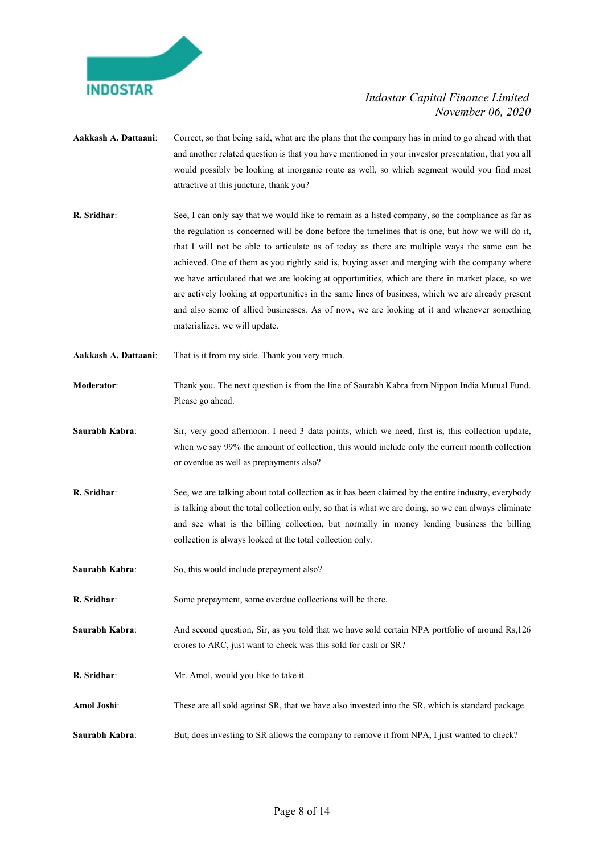

- Aakkash A. Dattaani: Correct, so that being said, what are the plans that the company has in mind to go ahead with that and another related question is that you have mentioned in your investor presentation, that you all would possibly be looking at inorganic route as well, so which segment would you find most attractive at this juncture, thank you?
- R. Sridhar: See, I can only say that we would like to remain as a listed company, so the compliance as far as the regulation is concerned will be done before the timelines that is one, but how we will do it, that I will not be able to articulate as of today as there are multiple ways the same can be achieved. One of them as you rightly said is, buying asset and merging with the company where we have articulated that we are looking at opportunities, which are there in market place, so we are actively looking at opportunities in the same lines of business, which we are already present and also some of allied businesses. As of now, we are looking at it and whenever something materializes, we will update.
- Aakkash A. Dattaani: That is it from my side. Thank you very much.
- Moderator: Thank you. The next question is from the line of Saurabh Kabra from Nippon India Mutual Fund. Please go ahead.
- Saurabh Kabra: Sir, very good afternoon. I need 3 data points, which we need, first is, this collection update, when we say 99% the amount of collection, this would include only the current month collection or overdue as well as prepayments also?
- R. Sridhar: See, we are talking about total collection as it has been claimed by the entire industry, everybody is talking about the total collection only, so that is what we are doing, so we can always eliminate and see what is the billing collection, but normally in money lending business the billing collection is always looked at the total collection only.
- Saurabh Kabra: So, this would include prepayment also?
- R. Sridhar: Some prepayment, some overdue collections will be there.
- Saurabh Kabra: And second question, Sir, as you told that we have sold certain NPA portfolio of around Rs,126 crores to ARC, just want to check was this sold for cash or SR?
- R. Sridhar: Mr. Amol, would you like to take it.
- Amol Joshi: These are all sold against SR, that we have also invested into the SR, which is standard package.
- Saurabh Kabra: But, does investing to SR allows the company to remove it from NPA, I just wanted to check?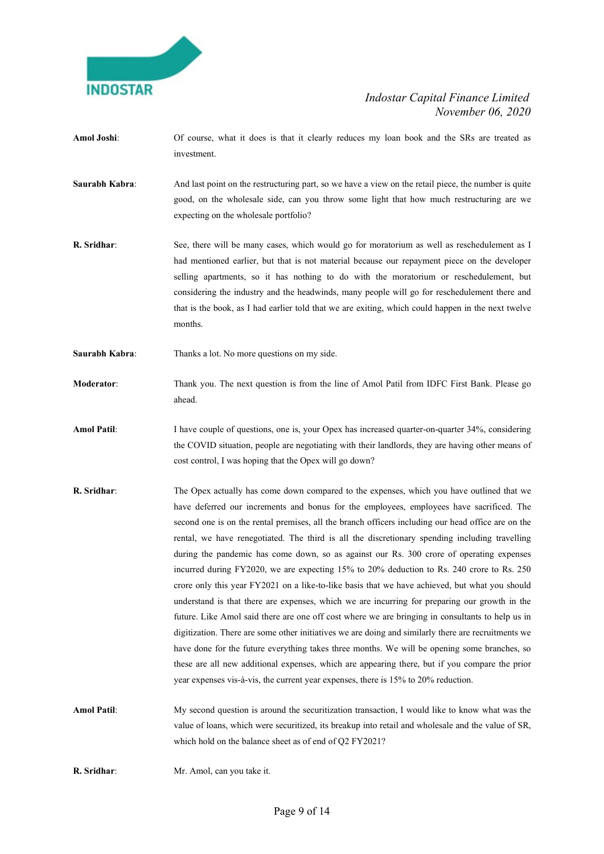

- Amol Joshi: Of course, what it does is that it clearly reduces my loan book and the SRs are treated as investment.
- Saurabh Kabra: And last point on the restructuring part, so we have a view on the retail piece, the number is quite good, on the wholesale side, can you throw some light that how much restructuring are we expecting on the wholesale portfolio?
- **R. Sridhar:** See, there will be many cases, which would go for moratorium as well as reschedulement as I had mentioned earlier, but that is not material because our repayment piece on the developer selling apartments, so it has nothing to do with the moratorium or reschedulement, but considering the industry and the headwinds, many people will go for reschedulement there and that is the book, as I had earlier told that we are exiting, which could happen in the next twelve months.
- Saurabh Kabra: Thanks a lot. No more questions on my side.
- Moderator: Thank you. The next question is from the line of Amol Patil from IDFC First Bank. Please go ahead.
- Amol Patil: I have couple of questions, one is, your Opex has increased quarter-on-quarter 34%, considering the COVID situation, people are negotiating with their landlords, they are having other means of cost control, I was hoping that the Opex will go down?
- R. Sridhar: The Opex actually has come down compared to the expenses, which you have outlined that we have deferred our increments and bonus for the employees, employees have sacrificed. The second one is on the rental premises, all the branch officers including our head office are on the rental, we have renegotiated. The third is all the discretionary spending including travelling during the pandemic has come down, so as against our Rs. 300 crore of operating expenses incurred during FY2020, we are expecting 15% to 20% deduction to Rs. 240 crore to Rs. 250 crore only this year FY2021 on a like-to-like basis that we have achieved, but what you should understand is that there are expenses, which we are incurring for preparing our growth in the future. Like Amol said there are one off cost where we are bringing in consultants to help us in digitization. There are some other initiatives we are doing and similarly there are recruitments we have done for the future everything takes three months. We will be opening some branches, so these are all new additional expenses, which are appearing there, but if you compare the prior year expenses vis-à-vis, the current year expenses, there is 15% to 20% reduction.
- Amol Patil: My second question is around the securitization transaction, I would like to know what was the value of loans, which were securitized, its breakup into retail and wholesale and the value of SR, which hold on the balance sheet as of end of Q2 FY2021?
- R. Sridhar: Mr. Amol, can you take it.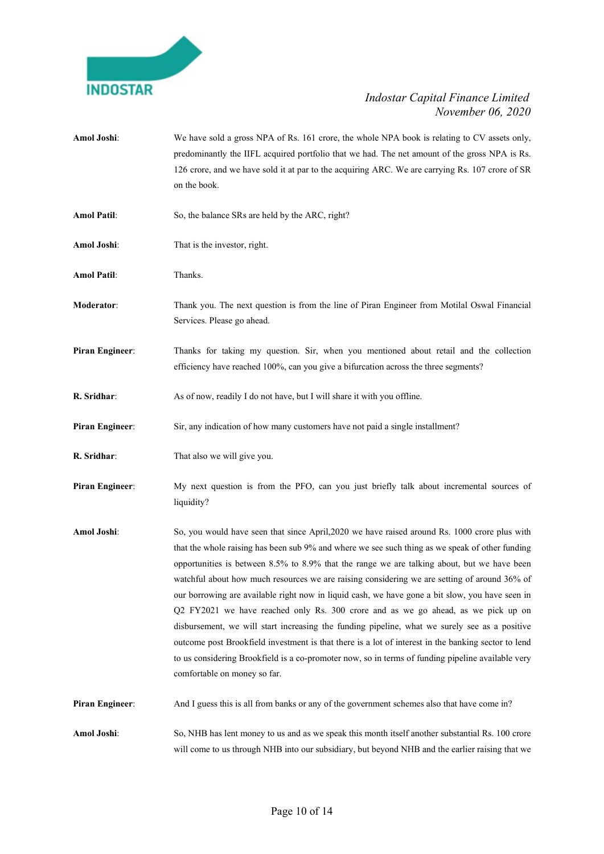

Amol Joshi: We have sold a gross NPA of Rs. 161 crore, the whole NPA book is relating to CV assets only, predominantly the IIFL acquired portfolio that we had. The net amount of the gross NPA is Rs. 126 crore, and we have sold it at par to the acquiring ARC. We are carrying Rs. 107 crore of SR on the book. Amol Patil: So, the balance SRs are held by the ARC, right? Amol Joshi: That is the investor, right. Amol Patil: Thanks. Moderator: Thank you. The next question is from the line of Piran Engineer from Motilal Oswal Financial Services. Please go ahead. Piran Engineer: Thanks for taking my question. Sir, when you mentioned about retail and the collection efficiency have reached 100%, can you give a bifurcation across the three segments? R. Sridhar: As of now, readily I do not have, but I will share it with you offline. Piran Engineer: Sir, any indication of how many customers have not paid a single installment? **R. Sridhar:** That also we will give you. Piran Engineer: My next question is from the PFO, can you just briefly talk about incremental sources of liquidity? Amol Joshi: So, you would have seen that since April, 2020 we have raised around Rs. 1000 crore plus with that the whole raising has been sub 9% and where we see such thing as we speak of other funding opportunities is between 8.5% to 8.9% that the range we are talking about, but we have been watchful about how much resources we are raising considering we are setting of around 36% of our borrowing are available right now in liquid cash, we have gone a bit slow, you have seen in Q2 FY2021 we have reached only Rs. 300 crore and as we go ahead, as we pick up on disbursement, we will start increasing the funding pipeline, what we surely see as a positive outcome post Brookfield investment is that there is a lot of interest in the banking sector to lend to us considering Brookfield is a co-promoter now, so in terms of funding pipeline available very comfortable on money so far. Piran Engineer: And I guess this is all from banks or any of the government schemes also that have come in? Amol Joshi: So, NHB has lent money to us and as we speak this month itself another substantial Rs. 100 crore will come to us through NHB into our subsidiary, but beyond NHB and the earlier raising that we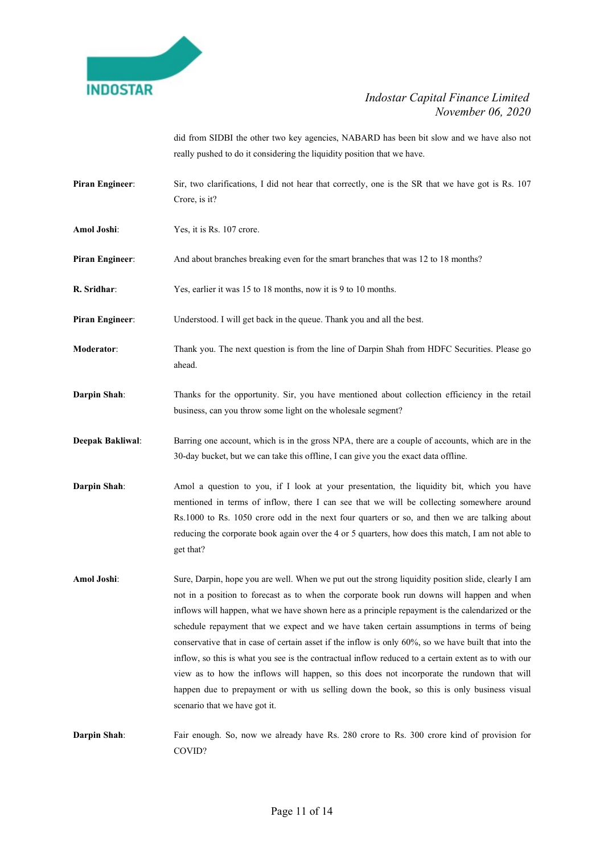

did from SIDBI the other two key agencies, NABARD has been bit slow and we have also not really pushed to do it considering the liquidity position that we have.

- Piran Engineer: Sir, two clarifications, I did not hear that correctly, one is the SR that we have got is Rs. 107 Crore, is it?
- Amol Joshi: Yes, it is Rs. 107 crore.
- Piran Engineer: And about branches breaking even for the smart branches that was 12 to 18 months?
- R. Sridhar: Yes, earlier it was 15 to 18 months, now it is 9 to 10 months.

Piran Engineer: Understood. I will get back in the queue. Thank you and all the best.

- Moderator: Thank you. The next question is from the line of Darpin Shah from HDFC Securities. Please go ahead.
- Darpin Shah: Thanks for the opportunity. Sir, you have mentioned about collection efficiency in the retail business, can you throw some light on the wholesale segment?
- Deepak Bakliwal: Barring one account, which is in the gross NPA, there are a couple of accounts, which are in the 30-day bucket, but we can take this offline, I can give you the exact data offline.
- Darpin Shah: Amol a question to you, if I look at your presentation, the liquidity bit, which you have mentioned in terms of inflow, there I can see that we will be collecting somewhere around Rs.1000 to Rs. 1050 crore odd in the next four quarters or so, and then we are talking about reducing the corporate book again over the 4 or 5 quarters, how does this match, I am not able to get that?
- Amol Joshi: Sure, Darpin, hope you are well. When we put out the strong liquidity position slide, clearly I am not in a position to forecast as to when the corporate book run downs will happen and when inflows will happen, what we have shown here as a principle repayment is the calendarized or the schedule repayment that we expect and we have taken certain assumptions in terms of being conservative that in case of certain asset if the inflow is only 60%, so we have built that into the inflow, so this is what you see is the contractual inflow reduced to a certain extent as to with our view as to how the inflows will happen, so this does not incorporate the rundown that will happen due to prepayment or with us selling down the book, so this is only business visual scenario that we have got it.
- Darpin Shah: Fair enough. So, now we already have Rs. 280 crore to Rs. 300 crore kind of provision for COVID?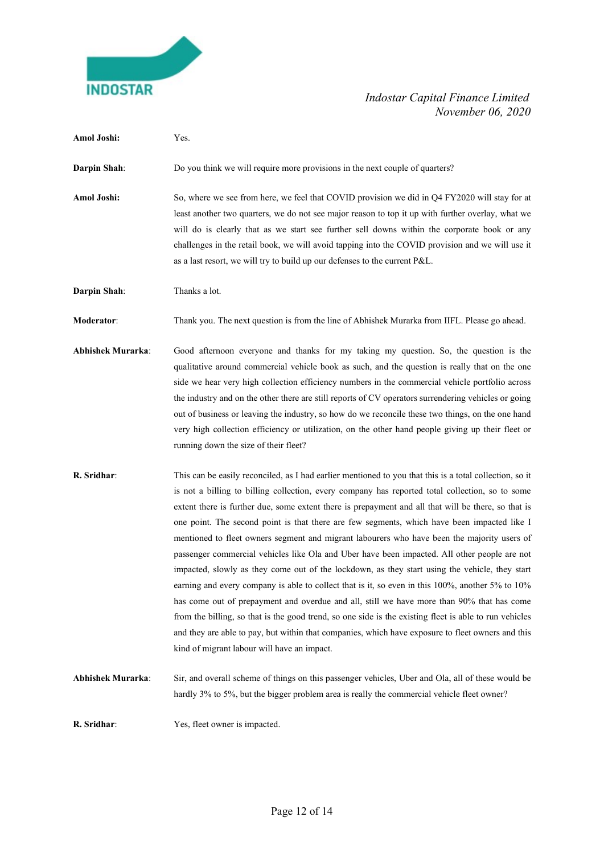

| Amol Joshi:              | Yes.                                                                                                                                                                                                                                                                                                                                                                                                                                                                                                                                                                                                                                                                                                                                                                                                                                                                                                                                                                                                                                                                                                                                                                             |
|--------------------------|----------------------------------------------------------------------------------------------------------------------------------------------------------------------------------------------------------------------------------------------------------------------------------------------------------------------------------------------------------------------------------------------------------------------------------------------------------------------------------------------------------------------------------------------------------------------------------------------------------------------------------------------------------------------------------------------------------------------------------------------------------------------------------------------------------------------------------------------------------------------------------------------------------------------------------------------------------------------------------------------------------------------------------------------------------------------------------------------------------------------------------------------------------------------------------|
| Darpin Shah:             | Do you think we will require more provisions in the next couple of quarters?                                                                                                                                                                                                                                                                                                                                                                                                                                                                                                                                                                                                                                                                                                                                                                                                                                                                                                                                                                                                                                                                                                     |
| Amol Joshi:              | So, where we see from here, we feel that COVID provision we did in Q4 FY2020 will stay for at<br>least another two quarters, we do not see major reason to top it up with further overlay, what we<br>will do is clearly that as we start see further sell downs within the corporate book or any<br>challenges in the retail book, we will avoid tapping into the COVID provision and we will use it<br>as a last resort, we will try to build up our defenses to the current P&L.                                                                                                                                                                                                                                                                                                                                                                                                                                                                                                                                                                                                                                                                                              |
| Darpin Shah:             | Thanks a lot.                                                                                                                                                                                                                                                                                                                                                                                                                                                                                                                                                                                                                                                                                                                                                                                                                                                                                                                                                                                                                                                                                                                                                                    |
| Moderator:               | Thank you. The next question is from the line of Abhishek Murarka from IIFL. Please go ahead.                                                                                                                                                                                                                                                                                                                                                                                                                                                                                                                                                                                                                                                                                                                                                                                                                                                                                                                                                                                                                                                                                    |
| <b>Abhishek Murarka:</b> | Good afternoon everyone and thanks for my taking my question. So, the question is the<br>qualitative around commercial vehicle book as such, and the question is really that on the one<br>side we hear very high collection efficiency numbers in the commercial vehicle portfolio across<br>the industry and on the other there are still reports of CV operators surrendering vehicles or going<br>out of business or leaving the industry, so how do we reconcile these two things, on the one hand<br>very high collection efficiency or utilization, on the other hand people giving up their fleet or<br>running down the size of their fleet?                                                                                                                                                                                                                                                                                                                                                                                                                                                                                                                            |
| R. Sridhar:              | This can be easily reconciled, as I had earlier mentioned to you that this is a total collection, so it<br>is not a billing to billing collection, every company has reported total collection, so to some<br>extent there is further due, some extent there is prepayment and all that will be there, so that is<br>one point. The second point is that there are few segments, which have been impacted like I<br>mentioned to fleet owners segment and migrant labourers who have been the majority users of<br>passenger commercial vehicles like Ola and Uber have been impacted. All other people are not<br>impacted, slowly as they come out of the lockdown, as they start using the vehicle, they start<br>earning and every company is able to collect that is it, so even in this 100%, another 5% to 10%<br>has come out of prepayment and overdue and all, still we have more than 90% that has come<br>from the billing, so that is the good trend, so one side is the existing fleet is able to run vehicles<br>and they are able to pay, but within that companies, which have exposure to fleet owners and this<br>kind of migrant labour will have an impact. |
| <b>Abhishek Murarka:</b> | Sir, and overall scheme of things on this passenger vehicles, Uber and Ola, all of these would be<br>hardly 3% to 5%, but the bigger problem area is really the commercial vehicle fleet owner?                                                                                                                                                                                                                                                                                                                                                                                                                                                                                                                                                                                                                                                                                                                                                                                                                                                                                                                                                                                  |
| R. Sridhar:              | Yes, fleet owner is impacted.                                                                                                                                                                                                                                                                                                                                                                                                                                                                                                                                                                                                                                                                                                                                                                                                                                                                                                                                                                                                                                                                                                                                                    |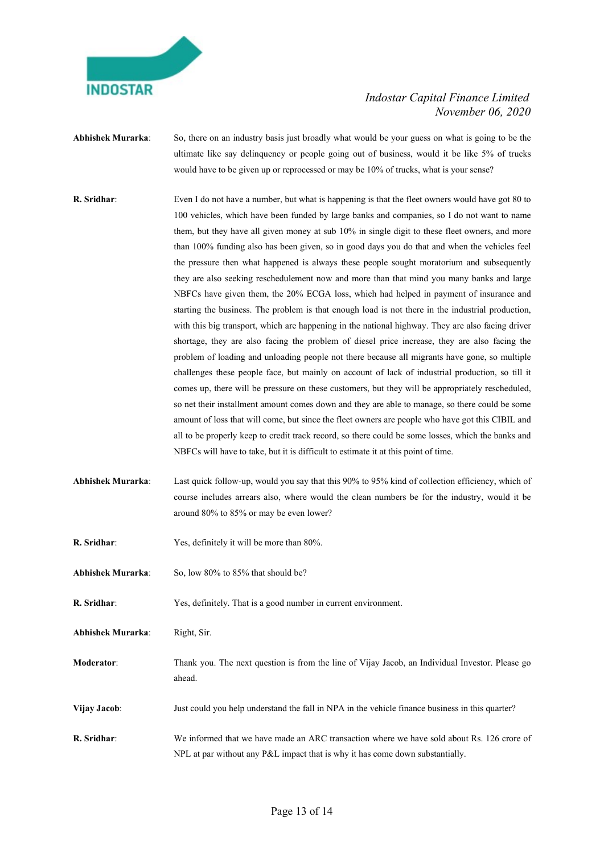

Abhishek Murarka: So, there on an industry basis just broadly what would be your guess on what is going to be the ultimate like say delinquency or people going out of business, would it be like 5% of trucks would have to be given up or reprocessed or may be 10% of trucks, what is your sense?

- R. Sridhar: Even I do not have a number, but what is happening is that the fleet owners would have got 80 to 100 vehicles, which have been funded by large banks and companies, so I do not want to name them, but they have all given money at sub 10% in single digit to these fleet owners, and more than 100% funding also has been given, so in good days you do that and when the vehicles feel the pressure then what happened is always these people sought moratorium and subsequently they are also seeking reschedulement now and more than that mind you many banks and large NBFCs have given them, the 20% ECGA loss, which had helped in payment of insurance and starting the business. The problem is that enough load is not there in the industrial production, with this big transport, which are happening in the national highway. They are also facing driver shortage, they are also facing the problem of diesel price increase, they are also facing the problem of loading and unloading people not there because all migrants have gone, so multiple challenges these people face, but mainly on account of lack of industrial production, so till it comes up, there will be pressure on these customers, but they will be appropriately rescheduled, so net their installment amount comes down and they are able to manage, so there could be some amount of loss that will come, but since the fleet owners are people who have got this CIBIL and all to be properly keep to credit track record, so there could be some losses, which the banks and NBFCs will have to take, but it is difficult to estimate it at this point of time.
- Abhishek Murarka: Last quick follow-up, would you say that this 90% to 95% kind of collection efficiency, which of course includes arrears also, where would the clean numbers be for the industry, would it be around 80% to 85% or may be even lower?
- R. Sridhar: Yes, definitely it will be more than 80%.
- Abhishek Murarka: So, low 80% to 85% that should be?
- R. Sridhar: Yes, definitely. That is a good number in current environment.
- Abhishek Murarka: Right, Sir.
- Moderator: Thank you. The next question is from the line of Vijay Jacob, an Individual Investor. Please go ahead.
- Vijay Jacob: Just could you help understand the fall in NPA in the vehicle finance business in this quarter?
- R. Sridhar: We informed that we have made an ARC transaction where we have sold about Rs. 126 crore of NPL at par without any P&L impact that is why it has come down substantially.